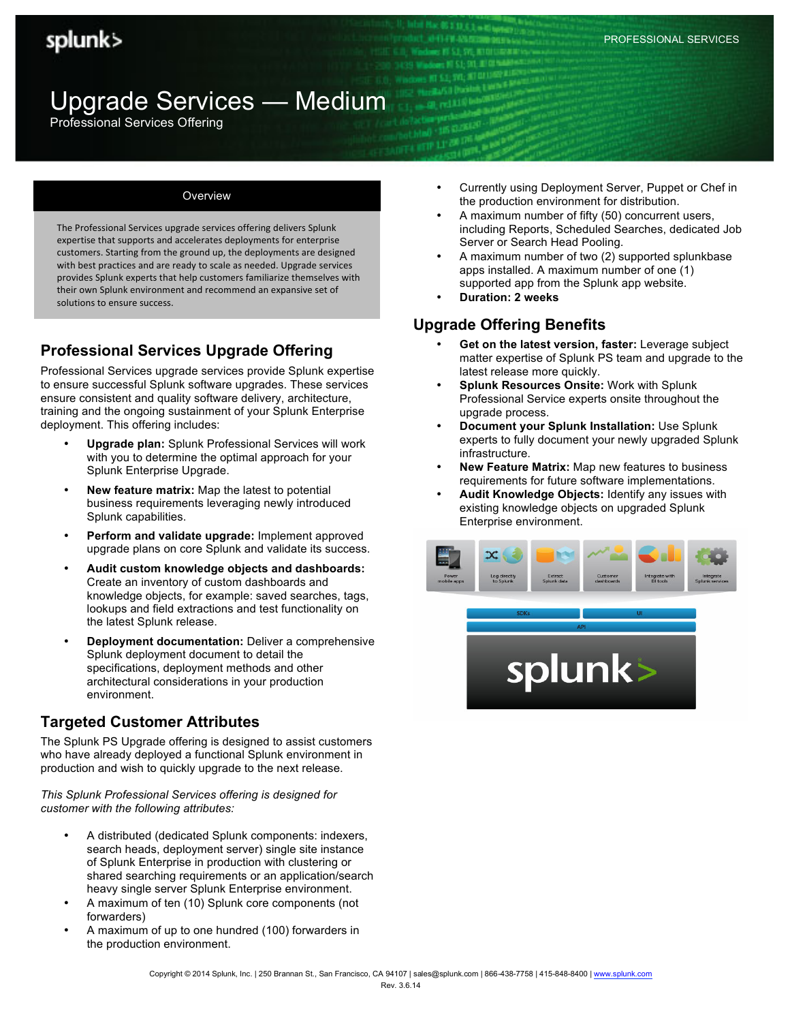# Upgrade Services — Medium

Professional Services Offering

#### Overview

The Professional Services upgrade services offering delivers Splunk expertise that supports and accelerates deployments for enterprise customers. Starting from the ground up, the deployments are designed with best practices and are ready to scale as needed. Upgrade services provides Splunk experts that help customers familiarize themselves with their own Splunk environment and recommend an expansive set of solutions to ensure success.

# **Professional Services Upgrade Offering**

Professional Services upgrade services provide Splunk expertise to ensure successful Splunk software upgrades. These services ensure consistent and quality software delivery, architecture, training and the ongoing sustainment of your Splunk Enterprise deployment. This offering includes:

- **Upgrade plan:** Splunk Professional Services will work with you to determine the optimal approach for your Splunk Enterprise Upgrade.
- **New feature matrix:** Map the latest to potential business requirements leveraging newly introduced Splunk capabilities.
- **Perform and validate upgrade:** Implement approved upgrade plans on core Splunk and validate its success.
- **Audit custom knowledge objects and dashboards:** Create an inventory of custom dashboards and knowledge objects, for example: saved searches, tags, lookups and field extractions and test functionality on the latest Splunk release.
- **Deployment documentation:** Deliver a comprehensive Splunk deployment document to detail the specifications, deployment methods and other architectural considerations in your production environment.

## **Targeted Customer Attributes**

The Splunk PS Upgrade offering is designed to assist customers who have already deployed a functional Splunk environment in production and wish to quickly upgrade to the next release.

*This Splunk Professional Services offering is designed for customer with the following attributes:*

- A distributed (dedicated Splunk components: indexers, search heads, deployment server) single site instance of Splunk Enterprise in production with clustering or shared searching requirements or an application/search heavy single server Splunk Enterprise environment.
- A maximum of ten (10) Splunk core components (not forwarders)
- A maximum of up to one hundred (100) forwarders in the production environment.
- Currently using Deployment Server, Puppet or Chef in the production environment for distribution.
- A maximum number of fifty (50) concurrent users, including Reports, Scheduled Searches, dedicated Job Server or Search Head Pooling.
- A maximum number of two (2) supported splunkbase apps installed. A maximum number of one (1) supported app from the Splunk app website.
- **Duration: 2 weeks**

## **Upgrade Offering Benefits**

- **Get on the latest version, faster:** Leverage subject matter expertise of Splunk PS team and upgrade to the latest release more quickly.
- **Splunk Resources Onsite:** Work with Splunk Professional Service experts onsite throughout the upgrade process.
- **Document your Splunk Installation:** Use Splunk experts to fully document your newly upgraded Splunk infrastructure.
- **New Feature Matrix:** Map new features to business requirements for future software implementations.
- **Audit Knowledge Objects:** Identify any issues with existing knowledge objects on upgraded Splunk Enterprise environment.